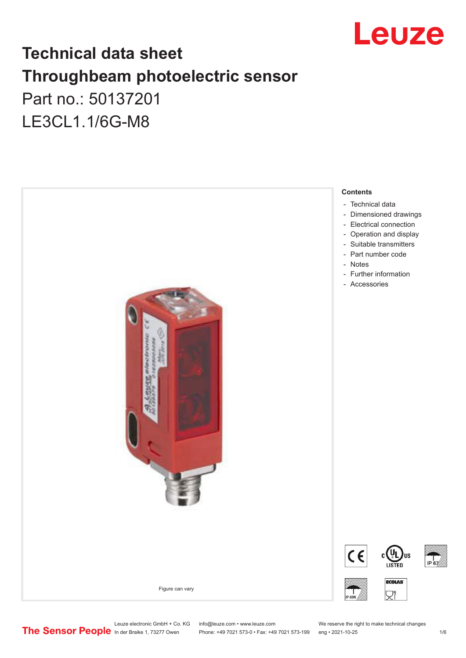

## **Technical data sheet Throughbeam photoelectric sensor**  Part no.: 50137201

LE3CL1.1/6G-M8



Leuze electronic GmbH + Co. KG info@leuze.com • www.leuze.com We reserve the right to make technical changes<br>
The Sensor People in der Braike 1, 73277 Owen Phone: +49 7021 573-0 • Fax: +49 7021 573-199 eng • 2021-10-25

Phone: +49 7021 573-0 • Fax: +49 7021 573-199 eng • 2021-10-25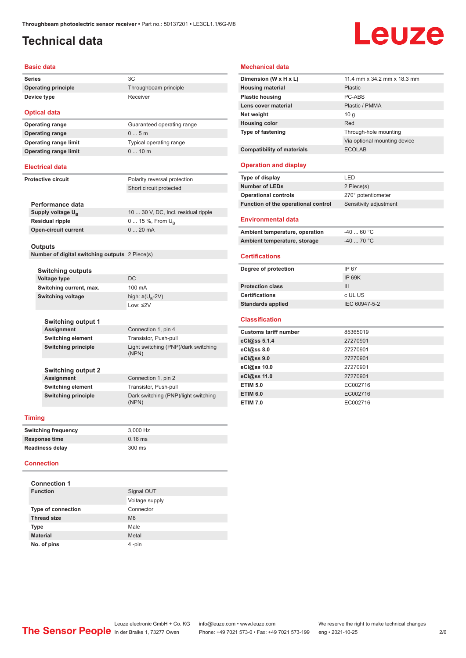### <span id="page-1-0"></span>**Technical data**

# Leuze

#### **Basic data**

**Series** 3C **Operating principle** Throughbeam principle **Device type** Receiver

## **Optical data Operating range** 0 ... 5 m

**Operating range** Guaranteed operating range **Operating range limit** Typical operating range **Operating range limit** 0 ... 10 m

#### **Electrical data**

**Protective circuit** Polarity reversal protection Short circuit protected

| Performance data              |                                     |
|-------------------------------|-------------------------------------|
| Supply voltage U <sub>p</sub> | 10  30 V, DC, Incl. residual ripple |
| Residual ripple               | 0  15 %, From $U_{\rm B}$           |
| <b>Open-circuit current</b>   | $020$ mA                            |
|                               |                                     |

#### **Outputs**

**Number of digital switching outputs** 2 Piece(s)

|                         | <b>Switching outputs</b>   |                                               |
|-------------------------|----------------------------|-----------------------------------------------|
| Voltage type            |                            | DC.                                           |
| Switching current, max. |                            | $100 \text{ mA}$                              |
| Switching voltage       |                            | high: $\geq$ (U <sub>p</sub> -2V)             |
|                         |                            | $1$ nw: $\leq$ 2V                             |
|                         |                            |                                               |
|                         | <b>Switching output 1</b>  |                                               |
|                         | <b>Assignment</b>          | Connection 1, pin 4                           |
|                         | <b>Switching element</b>   | Transistor, Push-pull                         |
|                         | <b>Switching principle</b> | Light switching (PNP)/dark switching<br>(NPN) |
|                         |                            |                                               |
|                         | <b>Switching output 2</b>  |                                               |
|                         | Assignment                 | Connection 1, pin 2                           |
|                         | <b>Switching element</b>   | Transistor, Push-pull                         |
|                         | <b>Switching principle</b> | Dark switching (PNP)/light switching<br>(NPN) |
|                         |                            |                                               |

#### **Timing**

| <b>Switching frequency</b> | 3.000 Hz  |
|----------------------------|-----------|
| Response time              | $0.16$ ms |
| <b>Readiness delay</b>     | 300 ms    |

#### **Connection**

| <b>Connection 1</b>       |                |  |
|---------------------------|----------------|--|
| <b>Function</b>           | Signal OUT     |  |
|                           | Voltage supply |  |
| <b>Type of connection</b> | Connector      |  |
| <b>Thread size</b>        | M <sub>8</sub> |  |
| <b>Type</b>               | Male           |  |
| <b>Material</b>           | Metal          |  |
| No. of pins               | 4-pin          |  |

#### **Mechanical data**

| Dimension (W x H x L)               | 11.4 mm x 34.2 mm x 18.3 mm  |
|-------------------------------------|------------------------------|
| <b>Housing material</b>             | Plastic                      |
| <b>Plastic housing</b>              | PC-ABS                       |
| Lens cover material                 | Plastic / PMMA               |
| Net weight                          | 10q                          |
| <b>Housing color</b>                | Red                          |
| <b>Type of fastening</b>            | Through-hole mounting        |
|                                     | Via optional mounting device |
| <b>Compatibility of materials</b>   | <b>ECOLAB</b>                |
| <b>Operation and display</b>        |                              |
| Type of display                     | LED                          |
| <b>Number of LEDs</b>               | 2 Piece(s)                   |
| <b>Operational controls</b>         | 270° potentiometer           |
| Function of the operational control | Sensitivity adjustment       |
| <b>Environmental data</b>           |                              |
| Ambient temperature, operation      | $-40$ 60 °C                  |
| Ambient temperature, storage        | $-40$ 70 °C                  |
| <b>Certifications</b>               |                              |
| Degree of protection                | IP 67                        |
|                                     | <b>IP 69K</b>                |
| <b>Protection class</b>             | III                          |
| <b>Certifications</b>               | c UL US                      |
| <b>Standards applied</b>            | IEC 60947-5-2                |
| <b>Classification</b>               |                              |
| <b>Customs tariff number</b>        | 85365019                     |
| eCl@ss 5.1.4                        | 27270901                     |
| eCl@ss 8.0                          | 27270901                     |
| eCl@ss 9.0                          | 27270901                     |
|                                     |                              |
| eCl@ss 10.0                         | 27270901                     |
| eCl@ss 11.0                         | 27270901                     |
| <b>ETIM 5.0</b>                     | EC002716                     |
| <b>ETIM 6.0</b>                     | EC002716                     |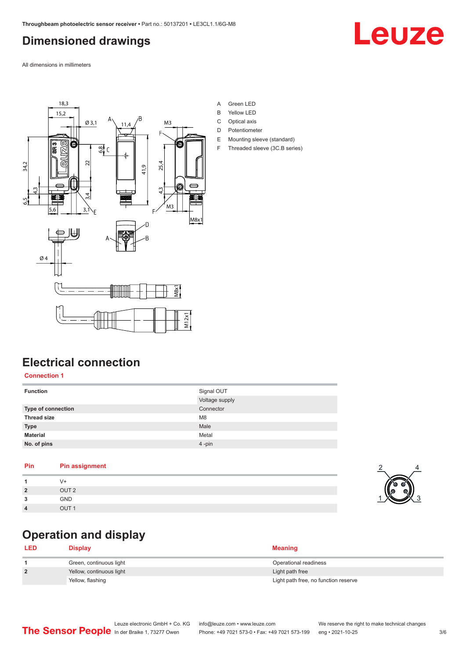### <span id="page-2-0"></span>**Dimensioned drawings**

Leuze

All dimensions in millimeters



- A Green LED
- B Yellow LED
- C Optical axis
- D Potentiometer
- E Mounting sleeve (standard)
- F Threaded sleeve (3C.B series)

### **Electrical connection**

#### **Connection 1**

| <b>Function</b>    | Signal OUT     |
|--------------------|----------------|
|                    | Voltage supply |
| Type of connection | Connector      |
| <b>Thread size</b> | M <sub>8</sub> |
| <b>Type</b>        | Male           |
| <b>Material</b>    | Metal          |
| No. of pins        | 4-pin          |

#### **Pin Pin assignment**

|                | $V +$            |
|----------------|------------------|
| $\overline{2}$ | OUT <sub>2</sub> |
| 3              | <b>GND</b>       |
| Δ              | OUT <sub>1</sub> |

### **Operation and display**

| <b>LED</b>   | Display                  | <b>Meaning</b>                       |
|--------------|--------------------------|--------------------------------------|
|              | Green, continuous light  | Operational readiness                |
| $\mathbf{2}$ | Yellow, continuous light | Light path free                      |
|              | Yellow, flashing         | Light path free, no function reserve |

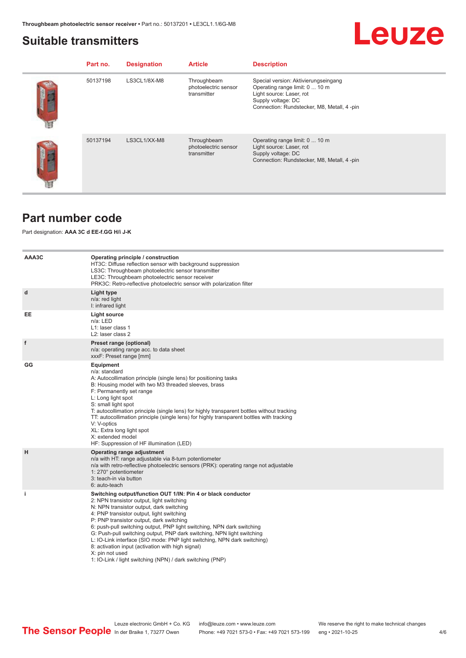#### <span id="page-3-0"></span>**Suitable transmitters**

#### **Part no.** Designation **Article Description** 50137198 LS3CL1/8X-M8 Throughbeam photoelectric sensor transmitter Special version: Aktivierungseingang Operating range limit: 0 ... 10 m Light source: Laser, rot Supply voltage: DC Connection: Rundstecker, M8, Metall, 4 -pin 50137194 LS3CL1/XX-M8 Throughbeam photoelectric sensor transmitter Operating range limit: 0 ... 10 m Light source: Laser, rot Supply voltage: DC Connection: Rundstecker, M8, Metall, 4 -pin

### **Part number code**

Part designation: **AAA 3C d EE-f.GG H/i J-K**

| AAA3C | Operating principle / construction<br>HT3C: Diffuse reflection sensor with background suppression<br>LS3C: Throughbeam photoelectric sensor transmitter<br>LE3C: Throughbeam photoelectric sensor receiver<br>PRK3C: Retro-reflective photoelectric sensor with polarization filter                                                                                                                                                                                                                                                                                                                                 |
|-------|---------------------------------------------------------------------------------------------------------------------------------------------------------------------------------------------------------------------------------------------------------------------------------------------------------------------------------------------------------------------------------------------------------------------------------------------------------------------------------------------------------------------------------------------------------------------------------------------------------------------|
| d     | Light type<br>n/a: red light<br>I: infrared light                                                                                                                                                                                                                                                                                                                                                                                                                                                                                                                                                                   |
| EE    | Light source<br>$n/a$ : LED<br>L1: laser class 1<br>L2: laser class 2                                                                                                                                                                                                                                                                                                                                                                                                                                                                                                                                               |
| f     | Preset range (optional)<br>n/a: operating range acc. to data sheet<br>xxxF: Preset range [mm]                                                                                                                                                                                                                                                                                                                                                                                                                                                                                                                       |
| GG    | Equipment<br>n/a: standard<br>A: Autocollimation principle (single lens) for positioning tasks<br>B: Housing model with two M3 threaded sleeves, brass<br>F: Permanently set range<br>L: Long light spot<br>S: small light spot<br>T: autocollimation principle (single lens) for highly transparent bottles without tracking<br>TT: autocollimation principle (single lens) for highly transparent bottles with tracking<br>V: V-optics<br>XL: Extra long light spot<br>X: extended model<br>HF: Suppression of HF illumination (LED)                                                                              |
| H     | Operating range adjustment<br>n/a with HT: range adjustable via 8-turn potentiometer<br>n/a with retro-reflective photoelectric sensors (PRK): operating range not adjustable<br>1: 270° potentiometer<br>3: teach-in via button<br>6: auto-teach                                                                                                                                                                                                                                                                                                                                                                   |
| j.    | Switching output/function OUT 1/IN: Pin 4 or black conductor<br>2: NPN transistor output, light switching<br>N: NPN transistor output, dark switching<br>4: PNP transistor output, light switching<br>P: PNP transistor output, dark switching<br>6: push-pull switching output, PNP light switching, NPN dark switching<br>G: Push-pull switching output, PNP dark switching, NPN light switching<br>L: IO-Link interface (SIO mode: PNP light switching, NPN dark switching)<br>8: activation input (activation with high signal)<br>X: pin not used<br>1: IO-Link / light switching (NPN) / dark switching (PNP) |

Leuze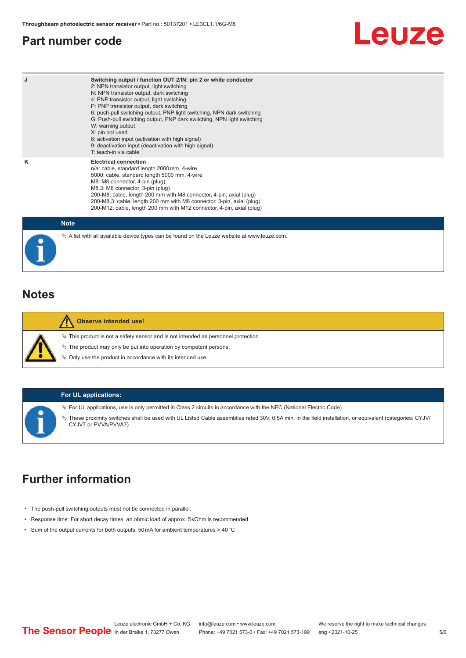### <span id="page-4-0"></span>**Part number code**

# Leuze

| J           | Switching output / function OUT 2/IN: pin 2 or white conductor<br>2: NPN transistor output, light switching<br>N: NPN transistor output, dark switching<br>4: PNP transistor output, light switching<br>P: PNP transistor output, dark switching<br>6: push-pull switching output, PNP light switching, NPN dark switching<br>G: Push-pull switching output, PNP dark switching, NPN light switching<br>W: warning output<br>X: pin not used<br>8: activation input (activation with high signal)<br>9: deactivation input (deactivation with high signal)<br>T: teach-in via cable |
|-------------|-------------------------------------------------------------------------------------------------------------------------------------------------------------------------------------------------------------------------------------------------------------------------------------------------------------------------------------------------------------------------------------------------------------------------------------------------------------------------------------------------------------------------------------------------------------------------------------|
| κ           | <b>Electrical connection</b><br>n/a: cable, standard length 2000 mm, 4-wire<br>5000: cable, standard length 5000 mm, 4-wire<br>M8: M8 connector, 4-pin (plug)<br>M8.3: M8 connector, 3-pin (plug)<br>200-M8: cable, length 200 mm with M8 connector, 4-pin, axial (plug)<br>200-M8.3: cable, length 200 mm with M8 connector, 3-pin, axial (plug)<br>200-M12: cable, length 200 mm with M12 connector, 4-pin, axial (plug)                                                                                                                                                          |
| <b>Note</b> |                                                                                                                                                                                                                                                                                                                                                                                                                                                                                                                                                                                     |

| <b>Note</b>                                                                                     |
|-------------------------------------------------------------------------------------------------|
| $\&$ A list with all available device types can be found on the Leuze website at www.leuze.com. |

#### **Notes**

| <b>Observe intended use!</b>                                                          |
|---------------------------------------------------------------------------------------|
| $\%$ This product is not a safety sensor and is not intended as personnel protection. |
| § The product may only be put into operation by competent persons.                    |
| $\%$ Only use the product in accordance with its intended use.                        |
|                                                                                       |

#### **For UL applications:**

ª For UL applications, use is only permitted in Class 2 circuits in accordance with the NEC (National Electric Code). ª These proximity switches shall be used with UL Listed Cable assemblies rated 30V, 0.5A min, in the field installation, or equivalent (categories: CYJV/ CYJV7 or PVVA/PVVA7)

### **Further information**

- The push-pull switching outputs must not be connected in parallel.
- Response time: For short decay times, an ohmic load of approx. 5 kOhm is recommended
- Sum of the output currents for both outputs, 50 mA for ambient temperatures > 40 °C